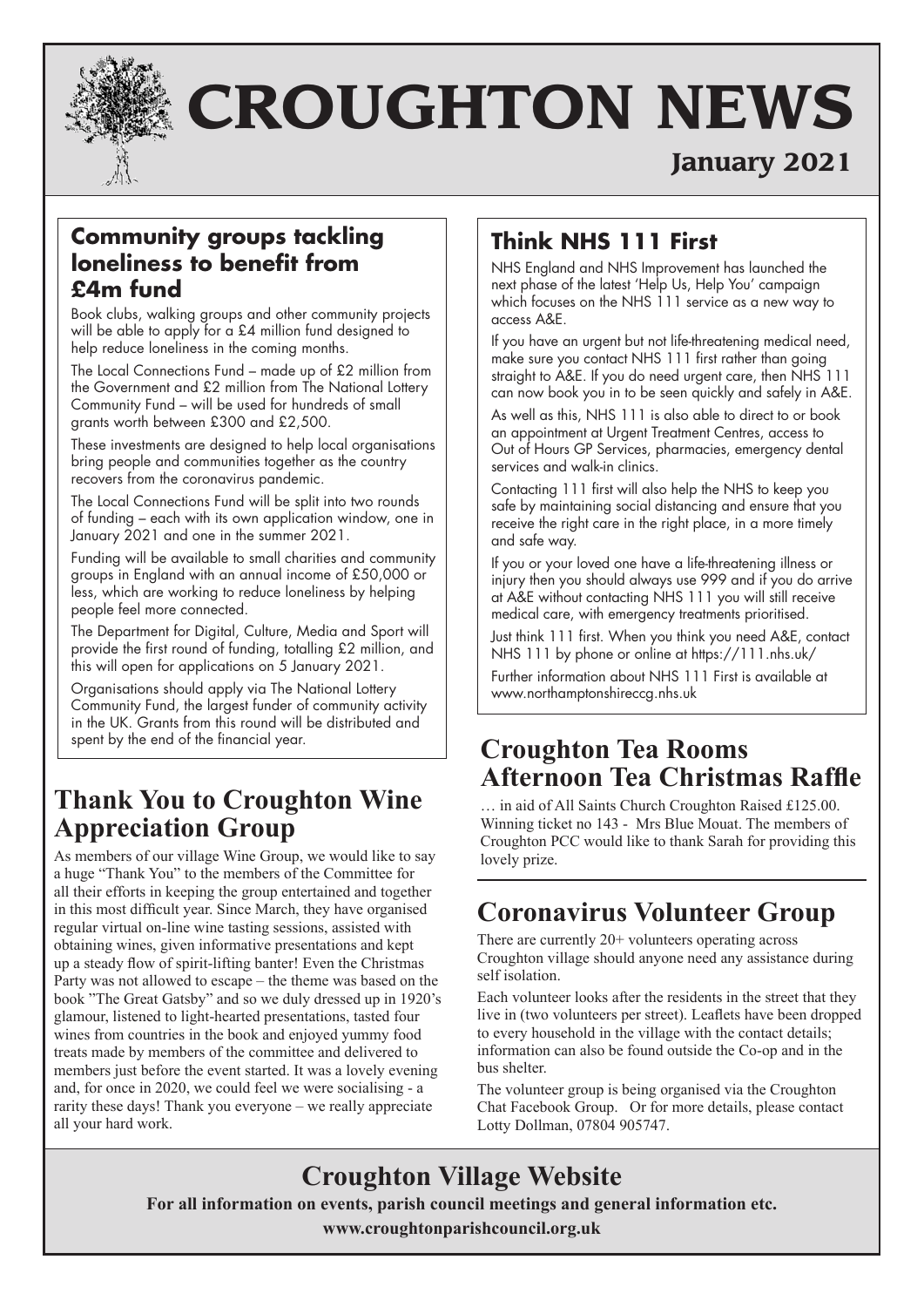

# **CROUGHTON NEWS**

## **January 2021**

### **Community groups tackling loneliness to benefit from £4m fund**

Book clubs, walking groups and other community projects will be able to apply for a £4 million fund designed to help reduce loneliness in the coming months.

The Local Connections Fund – made up of £2 million from the Government and £2 million from The National Lottery Community Fund – will be used for hundreds of small grants worth between £300 and £2,500.

These investments are designed to help local organisations bring people and communities together as the country recovers from the coronavirus pandemic.

The Local Connections Fund will be split into two rounds of funding – each with its own application window, one in January 2021 and one in the summer 2021.

Funding will be available to small charities and community groups in England with an annual income of £50,000 or less, which are working to reduce loneliness by helping people feel more connected.

The Department for Digital, Culture, Media and Sport will provide the first round of funding, totalling £2 million, and this will open for applications on 5 January 2021.

Organisations should apply via The National Lottery Community Fund, the largest funder of community activity in the UK. Grants from this round will be distributed and spent by the end of the financial year.

## **Thank You to Croughton Wine Appreciation Group**

As members of our village Wine Group, we would like to say a huge "Thank You" to the members of the Committee for all their efforts in keeping the group entertained and together in this most difficult year. Since March, they have organised regular virtual on-line wine tasting sessions, assisted with obtaining wines, given informative presentations and kept up a steady flow of spirit-lifting banter! Even the Christmas Party was not allowed to escape – the theme was based on the book "The Great Gatsby" and so we duly dressed up in 1920's glamour, listened to light-hearted presentations, tasted four wines from countries in the book and enjoyed yummy food treats made by members of the committee and delivered to members just before the event started. It was a lovely evening and, for once in 2020, we could feel we were socialising - a rarity these days! Thank you everyone – we really appreciate all your hard work.

## **Think NHS 111 First**

NHS England and NHS Improvement has launched the next phase of the latest 'Help Us, Help You' campaign which focuses on the NHS 111 service as a new way to access A&E.

If you have an urgent but not life-threatening medical need, make sure you contact NHS 111 first rather than going straight to A&E. If you do need urgent care, then NHS 111 can now book you in to be seen quickly and safely in A&E.

As well as this, NHS 111 is also able to direct to or book an appointment at Urgent Treatment Centres, access to Out of Hours GP Services, pharmacies, emergency dental services and walk-in clinics.

Contacting 111 first will also help the NHS to keep you safe by maintaining social distancing and ensure that you receive the right care in the right place, in a more timely and safe way.

If you or your loved one have a life-threatening illness or injury then you should always use 999 and if you do arrive at A&E without contacting NHS 111 you will still receive medical care, with emergency treatments prioritised.

Just think 111 first. When you think you need A&E, contact NHS 111 by phone or online at https://111.nhs.uk/

Further information about NHS 111 First is available at www.northamptonshireccg.nhs.uk

## **Croughton Tea Rooms Afternoon Tea Christmas Raffle**

… in aid of All Saints Church Croughton Raised £125.00. Winning ticket no 143 - Mrs Blue Mouat. The members of Croughton PCC would like to thank Sarah for providing this lovely prize.

## **Coronavirus Volunteer Group**

There are currently 20+ volunteers operating across Croughton village should anyone need any assistance during self isolation.

Each volunteer looks after the residents in the street that they live in (two volunteers per street). Leaflets have been dropped to every household in the village with the contact details; information can also be found outside the Co-op and in the bus shelter.

The volunteer group is being organised via the Croughton Chat Facebook Group. Or for more details, please contact Lotty Dollman, 07804 905747.

## **Croughton Village Website**

**For all information on events, parish council meetings and general information etc.**

**www.croughtonparishcouncil.org.uk**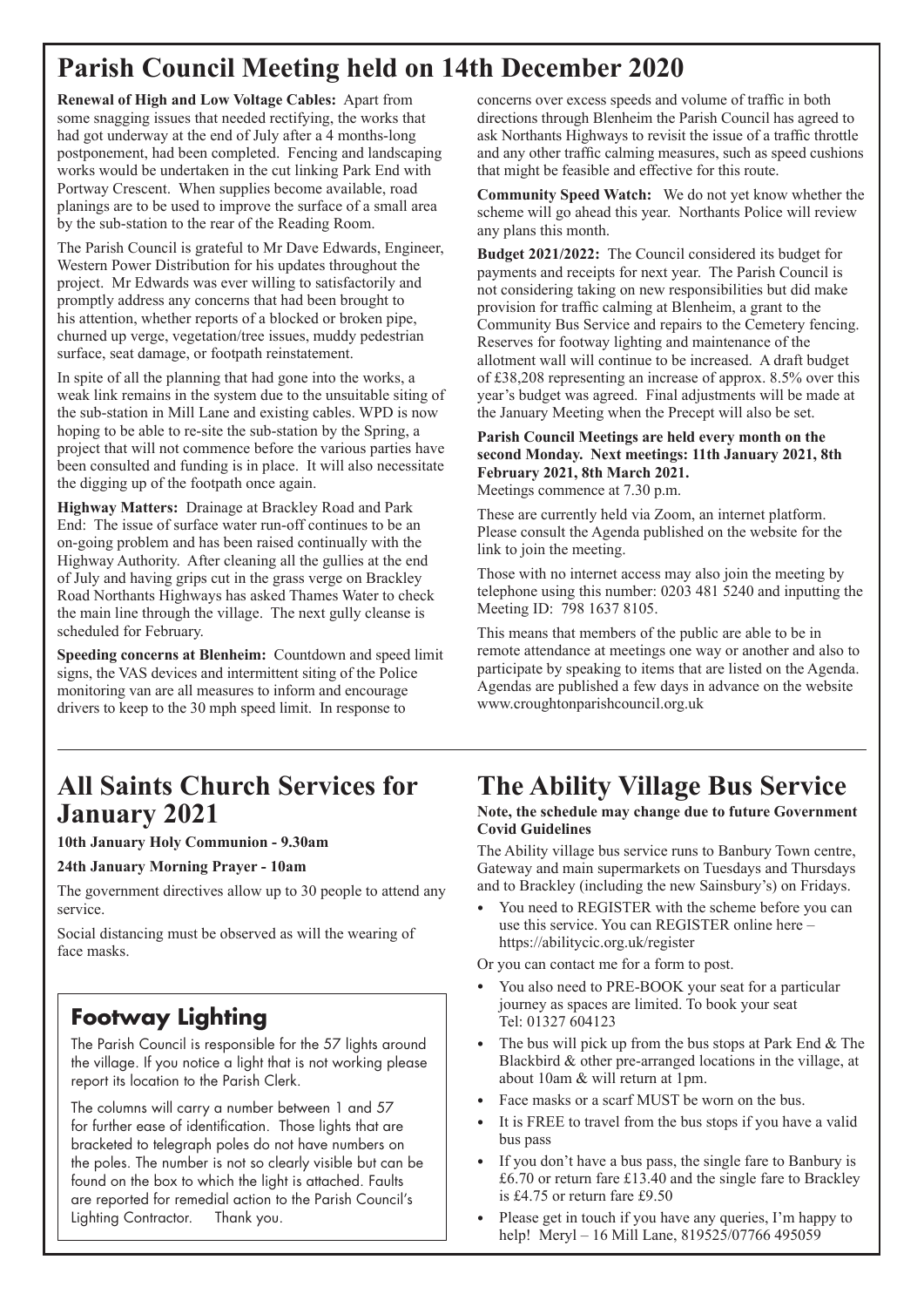## **Parish Council Meeting held on 14th December 2020**

**Renewal of High and Low Voltage Cables:** Apart from some snagging issues that needed rectifying, the works that had got underway at the end of July after a 4 months-long postponement, had been completed. Fencing and landscaping works would be undertaken in the cut linking Park End with Portway Crescent. When supplies become available, road planings are to be used to improve the surface of a small area by the sub-station to the rear of the Reading Room.

The Parish Council is grateful to Mr Dave Edwards, Engineer, Western Power Distribution for his updates throughout the project. Mr Edwards was ever willing to satisfactorily and promptly address any concerns that had been brought to his attention, whether reports of a blocked or broken pipe, churned up verge, vegetation/tree issues, muddy pedestrian surface, seat damage, or footpath reinstatement.

In spite of all the planning that had gone into the works, a weak link remains in the system due to the unsuitable siting of the sub-station in Mill Lane and existing cables. WPD is now hoping to be able to re-site the sub-station by the Spring, a project that will not commence before the various parties have been consulted and funding is in place. It will also necessitate the digging up of the footpath once again.

**Highway Matters:** Drainage at Brackley Road and Park End: The issue of surface water run-off continues to be an on-going problem and has been raised continually with the Highway Authority. After cleaning all the gullies at the end of July and having grips cut in the grass verge on Brackley Road Northants Highways has asked Thames Water to check the main line through the village. The next gully cleanse is scheduled for February.

**Speeding concerns at Blenheim:** Countdown and speed limit signs, the VAS devices and intermittent siting of the Police monitoring van are all measures to inform and encourage drivers to keep to the 30 mph speed limit. In response to

### **All Saints Church Services for January 2021**

#### **10th January Holy Communion - 9.30am**

#### **24th January Morning Prayer - 10am**

The government directives allow up to 30 people to attend any service.

Social distancing must be observed as will the wearing of face masks.

## **Footway Lighting**

The Parish Council is responsible for the 57 lights around the village. If you notice a light that is not working please report its location to the Parish Clerk.

The columns will carry a number between 1 and 57 for further ease of identification. Those lights that are bracketed to telegraph poles do not have numbers on the poles. The number is not so clearly visible but can be found on the box to which the light is attached. Faults are reported for remedial action to the Parish Council's Lighting Contractor. Thank you.

concerns over excess speeds and volume of traffic in both directions through Blenheim the Parish Council has agreed to ask Northants Highways to revisit the issue of a traffic throttle and any other traffic calming measures, such as speed cushions that might be feasible and effective for this route.

**Community Speed Watch:** We do not yet know whether the scheme will go ahead this year. Northants Police will review any plans this month.

**Budget 2021/2022:** The Council considered its budget for payments and receipts for next year. The Parish Council is not considering taking on new responsibilities but did make provision for traffic calming at Blenheim, a grant to the Community Bus Service and repairs to the Cemetery fencing. Reserves for footway lighting and maintenance of the allotment wall will continue to be increased. A draft budget of £38,208 representing an increase of approx. 8.5% over this year's budget was agreed. Final adjustments will be made at the January Meeting when the Precept will also be set.

#### **Parish Council Meetings are held every month on the second Monday. Next meetings: 11th January 2021, 8th February 2021, 8th March 2021.**

Meetings commence at 7.30 p.m.

These are currently held via Zoom, an internet platform. Please consult the Agenda published on the website for the link to join the meeting.

Those with no internet access may also join the meeting by telephone using this number: 0203 481 5240 and inputting the Meeting ID: 798 1637 8105.

This means that members of the public are able to be in remote attendance at meetings one way or another and also to participate by speaking to items that are listed on the Agenda. Agendas are published a few days in advance on the website www.croughtonparishcouncil.org.uk

## **The Ability Village Bus Service**

#### **Note, the schedule may change due to future Government Covid Guidelines**

The Ability village bus service runs to Banbury Town centre, Gateway and main supermarkets on Tuesdays and Thursdays and to Brackley (including the new Sainsbury's) on Fridays.

• You need to REGISTER with the scheme before you can use this service. You can REGISTER online here – https://abilitycic.org.uk/register

Or you can contact me for a form to post.

- You also need to PRE-BOOK your seat for a particular journey as spaces are limited. To book your seat Tel: 01327 604123
- The bus will pick up from the bus stops at Park End  $&$  The Blackbird & other pre-arranged locations in the village, at about 10am & will return at 1pm.
- Face masks or a scarf MUST be worn on the bus.
- It is FREE to travel from the bus stops if you have a valid bus pass
- If you don't have a bus pass, the single fare to Banbury is £6.70 or return fare £13.40 and the single fare to Brackley is £4.75 or return fare £9.50
- Please get in touch if you have any queries, I'm happy to help! Meryl – 16 Mill Lane, 819525/07766 495059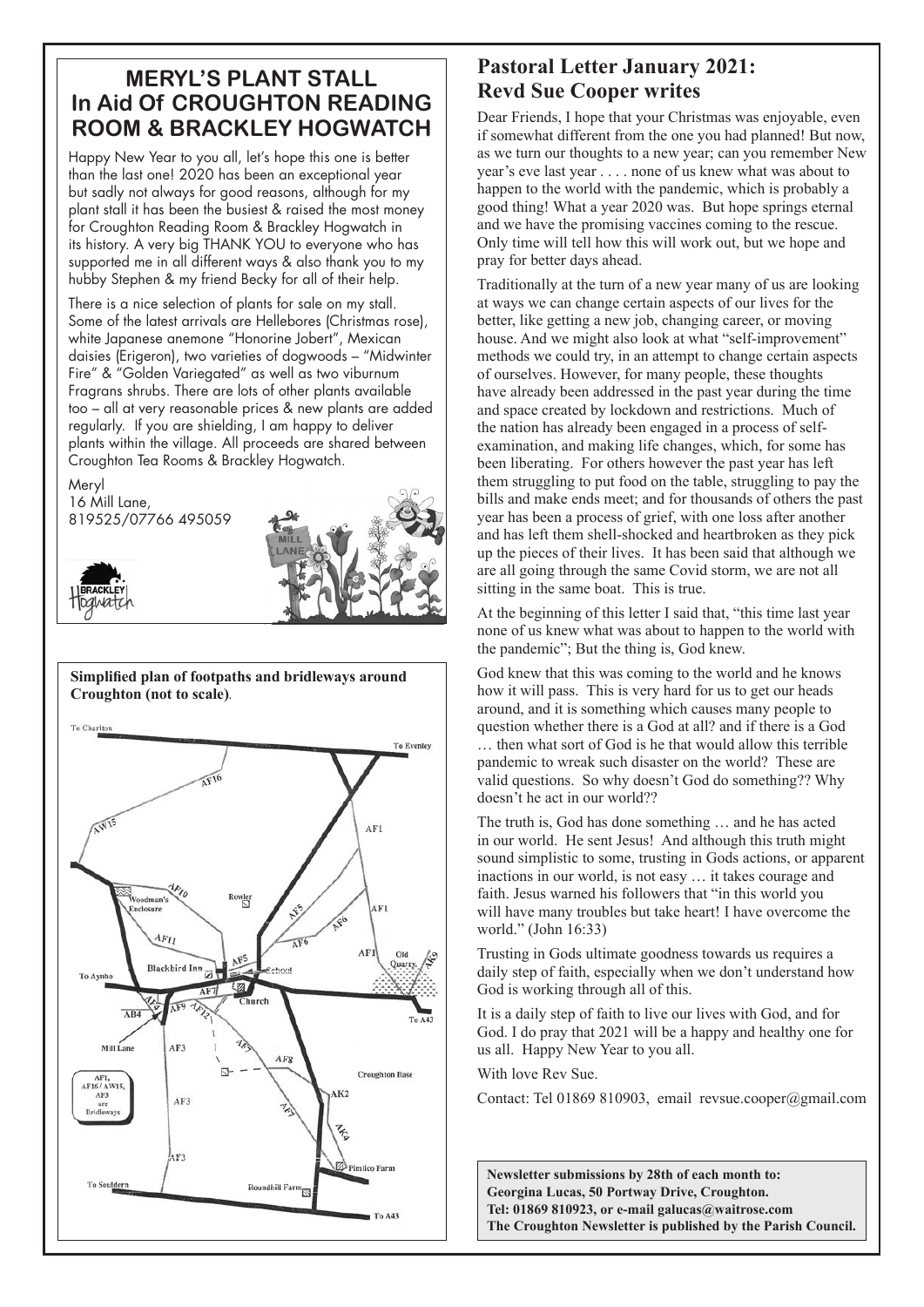#### **MERYL'S PLANT STALL In Aid Of CROUGHTON READING ROOM & BRACKLEY HOGWATCH**

Happy New Year to you all, let's hope this one is better than the last one! 2020 has been an exceptional year but sadly not always for good reasons, although for my plant stall it has been the busiest & raised the most money for Croughton Reading Room & Brackley Hogwatch in its history. A very big THANK YOU to everyone who has supported me in all different ways & also thank you to my hubby Stephen & my friend Becky for all of their help.

There is a nice selection of plants for sale on my stall. Some of the latest arrivals are Hellebores (Christmas rose), white Japanese anemone "Honorine Jobert", Mexican daisies (Erigeron), two varieties of dogwoods – "Midwinter Fire" & "Golden Variegated" as well as two viburnum Fragrans shrubs. There are lots of other plants available too – all at very reasonable prices & new plants are added regularly. If you are shielding, I am happy to deliver plants within the village. All proceeds are shared between Croughton Tea Rooms & Brackley Hogwatch.

Meryl 16 Mill Lane, 819525/07766 495059





#### **Simplified plan of footpaths and bridleways around Croughton (not to scale)***.*

To Charlto **To Evenley** 河 AF1 Voodman's AF1  $AF_{II}$ **AF** Old **Blackbird Inn** Quarr To Aynho AF9 ARA Mill Lane AF3 AF<sub>8</sub> **Croughton Base** AF1 AF16/AW15 AK<sub>2</sub>  $AF3$  $AF3$ are<br>Bridleways AF3 Roundhill Farm **To Souldern** 

#### **Pastoral Letter January 2021: Revd Sue Cooper writes**

Dear Friends, I hope that your Christmas was enjoyable, even if somewhat different from the one you had planned! But now, as we turn our thoughts to a new year; can you remember New year's eve last year . . . . none of us knew what was about to happen to the world with the pandemic, which is probably a good thing! What a year 2020 was. But hope springs eternal and we have the promising vaccines coming to the rescue. Only time will tell how this will work out, but we hope and pray for better days ahead.

Traditionally at the turn of a new year many of us are looking at ways we can change certain aspects of our lives for the better, like getting a new job, changing career, or moving house. And we might also look at what "self-improvement" methods we could try, in an attempt to change certain aspects of ourselves. However, for many people, these thoughts have already been addressed in the past year during the time and space created by lockdown and restrictions. Much of the nation has already been engaged in a process of selfexamination, and making life changes, which, for some has been liberating. For others however the past year has left them struggling to put food on the table, struggling to pay the bills and make ends meet; and for thousands of others the past year has been a process of grief, with one loss after another and has left them shell-shocked and heartbroken as they pick up the pieces of their lives. It has been said that although we are all going through the same Covid storm, we are not all sitting in the same boat. This is true.

At the beginning of this letter I said that, "this time last year none of us knew what was about to happen to the world with the pandemic"; But the thing is, God knew.

God knew that this was coming to the world and he knows how it will pass. This is very hard for us to get our heads around, and it is something which causes many people to question whether there is a God at all? and if there is a God … then what sort of God is he that would allow this terrible pandemic to wreak such disaster on the world? These are valid questions. So why doesn't God do something?? Why doesn't he act in our world??

The truth is, God has done something … and he has acted in our world. He sent Jesus! And although this truth might sound simplistic to some, trusting in Gods actions, or apparent inactions in our world, is not easy … it takes courage and faith. Jesus warned his followers that "in this world you will have many troubles but take heart! I have overcome the world." (John 16:33)

Trusting in Gods ultimate goodness towards us requires a daily step of faith, especially when we don't understand how God is working through all of this.

It is a daily step of faith to live our lives with God, and for God. I do pray that 2021 will be a happy and healthy one for us all. Happy New Year to you all.

With love Rev Sue.

Contact: Tel 01869 810903, email revsue.cooper@gmail.com

**Newsletter submissions by 28th of each month to: Georgina Lucas, 50 Portway Drive, Croughton. Tel: 01869 810923, or e-mail galucas@waitrose.com The Croughton Newsletter is published by the Parish Council.**